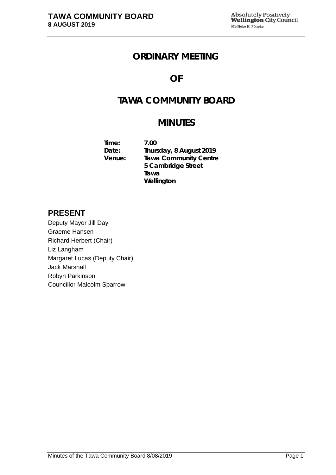# **ORDINARY MEETING**

# **OF**

# **TAWA COMMUNITY BOARD**

# **MINUTES**

**Time: 7.00 Date: Thursday, 8 August 2019 Tawa Community Centre 5 Cambridge Street Tawa Wellington**

# **PRESENT**

Deputy Mayor Jill Day Graeme Hansen Richard Herbert (Chair) Liz Langham Margaret Lucas (Deputy Chair) Jack Marshall Robyn Parkinson Councillor Malcolm Sparrow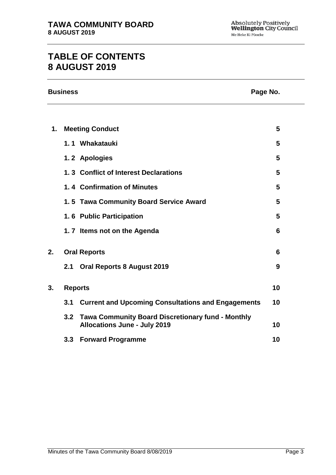# **TABLE OF CONTENTS 8 AUGUST 2019**

|    | <b>Business</b>        | Page No. |
|----|------------------------|----------|
|    |                        |          |
| 1. | <b>Meeting Conduct</b> | 5        |
|    | 1 1 Whakatauki         | 5        |

|    |                | I. I VYIIANALAUNI                                                                            | ◡  |
|----|----------------|----------------------------------------------------------------------------------------------|----|
|    |                | 1.2 Apologies                                                                                | 5  |
|    |                | 1.3 Conflict of Interest Declarations                                                        | 5  |
|    |                | 1.4 Confirmation of Minutes                                                                  | 5  |
|    |                | 1.5 Tawa Community Board Service Award                                                       | 5  |
|    |                | 1.6 Public Participation                                                                     | 5  |
|    |                | 1.7 Items not on the Agenda                                                                  | 6  |
|    |                |                                                                                              |    |
| 2. |                | <b>Oral Reports</b>                                                                          | 6  |
|    |                | 2.1 Oral Reports 8 August 2019                                                               | 9  |
|    |                |                                                                                              |    |
| 3. | <b>Reports</b> |                                                                                              | 10 |
|    | 3.1            | <b>Current and Upcoming Consultations and Engagements</b>                                    | 10 |
|    |                | 3.2 Tawa Community Board Discretionary fund - Monthly<br><b>Allocations June - July 2019</b> | 10 |
|    |                |                                                                                              |    |

**3.3 Forward Programme [10](#page-9-3)**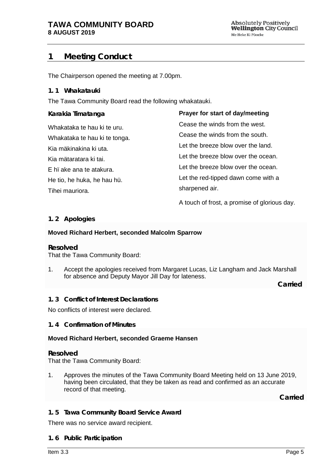# <span id="page-4-0"></span>**1 Meeting Conduct**

The Chairperson opened the meeting at 7.00pm.

## **1. 1 Whakatauki**

The Tawa Community Board read the following whakatauki.

| Karakia Timatanga             | Prayer for start of day/meeting              |
|-------------------------------|----------------------------------------------|
| Whakataka te hau ki te uru.   | Cease the winds from the west.               |
| Whakataka te hau ki te tonga. | Cease the winds from the south.              |
| Kia mäkinakina ki uta.        | Let the breeze blow over the land.           |
| Kia mätaratara ki tai.        | Let the breeze blow over the ocean.          |
| E hi ake ana te atakura.      | Let the breeze blow over the ocean.          |
| He tio, he huka, he hau hü.   | Let the red-tipped dawn come with a          |
| Tihei mauriora.               | sharpened air.                               |
|                               | A touch of frost, a promise of glorious day. |

<span id="page-4-1"></span>**1. 2 Apologies**

## **Moved Richard Herbert, seconded Malcolm Sparrow**

## **Resolved**

That the Tawa Community Board:

1. Accept the apologies received from Margaret Lucas, Liz Langham and Jack Marshall for absence and Deputy Mayor Jill Day for lateness.

 **Carried**

<span id="page-4-2"></span>**1. 3 Conflict of Interest Declarations**

No conflicts of interest were declared.

<span id="page-4-3"></span>**1. 4 Confirmation of Minutes**

## **Moved Richard Herbert, seconded Graeme Hansen**

## **Resolved**

That the Tawa Community Board:

1. Approves the minutes of the Tawa Community Board Meeting held on 13 June 2019, having been circulated, that they be taken as read and confirmed as an accurate record of that meeting.

**Carried**

# <span id="page-4-4"></span>**1. 5 Tawa Community Board Service Award**

<span id="page-4-5"></span>There was no service award recipient.

## **1. 6 Public Participation**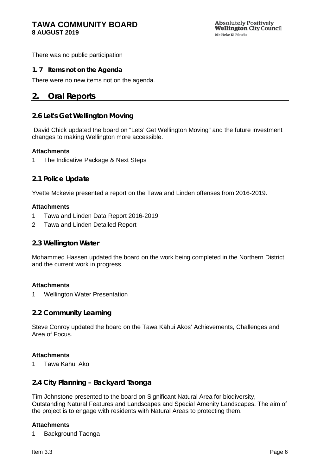There was no public participation

#### <span id="page-5-0"></span>**1. 7 Items not on the Agenda**

There were no new items not on the agenda.

# <span id="page-5-1"></span>**2. Oral Reports**

## **2.6 Let's Get Wellington Moving**

David Chick updated the board on "Lets' Get Wellington Moving" and the future investment changes to making Wellington more accessible.

#### **Attachments**

1 The Indicative Package & Next Steps

## **2.1 Police Update**

Yvette Mckevie presented a report on the Tawa and Linden offenses from 2016-2019.

#### **Attachments**

- 1 Tawa and Linden Data Report 2016-2019
- 2 Tawa and Linden Detailed Report

## **2.3 Wellington Water**

Mohammed Hassen updated the board on the work being completed in the Northern District and the current work in progress.

#### **Attachments**

1 Wellington Water Presentation

## **2.2 Community Learning**

Steve Conroy updated the board on the Tawa Kāhui Akos' Achievements, Challenges and Area of Focus.

## **Attachments**

1 Tawa Kahui Ako

# **2.4 City Planning – Backyard Taonga**

Tim Johnstone presented to the board on Significant Natural Area for biodiversity, Outstanding Natural Features and Landscapes and Special Amenity Landscapes. The aim of the project is to engage with residents with Natural Areas to protecting them.

#### **Attachments**

1 Background Taonga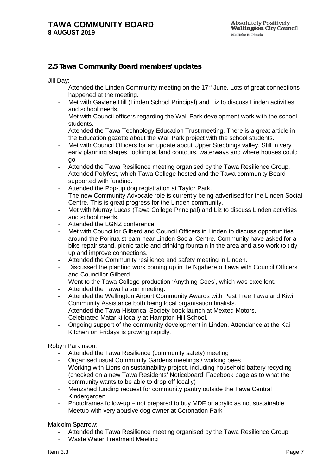# **2.5 Tawa Community Board members' updates**

Jill Day:

- Attended the Linden Community meeting on the 17<sup>th</sup> June. Lots of great connections happened at the meeting.
- Met with Gaylene Hill (Linden School Principal) and Liz to discuss Linden activities and school needs.
- Met with Council officers regarding the Wall Park development work with the school students.
- Attended the Tawa Technology Education Trust meeting. There is a great article in the Education gazette about the Wall Park project with the school students.
- Met with Council Officers for an update about Upper Stebbings valley. Still in very early planning stages, looking at land contours, waterways and where houses could go.
- Attended the Tawa Resilience meeting organised by the Tawa Resilience Group.
- Attended Polyfest, which Tawa College hosted and the Tawa community Board supported with funding.
- Attended the Pop-up dog registration at Taylor Park.
- The new Community Advocate role is currently being advertised for the Linden Social Centre. This is great progress for the Linden community.
- Met with Murray Lucas (Tawa College Principal) and Liz to discuss Linden activities and school needs.
- Attended the LGNZ conference.
- Met with Councillor Gilberd and Council Officers in Linden to discuss opportunities around the Porirua stream near Linden Social Centre. Community have asked for a bike repair stand, picnic table and drinking fountain in the area and also work to tidy up and improve connections.
- Attended the Community resilience and safety meeting in Linden.
- Discussed the planting work coming up in Te Ngahere o Tawa with Council Officers and Councillor Gilberd.
- Went to the Tawa College production 'Anything Goes', which was excellent.
- Attended the Tawa liaison meeting.
- Attended the Wellington Airport Community Awards with Pest Free Tawa and Kiwi Community Assistance both being local organisation finalists.
- Attended the Tawa Historical Society book launch at Mexted Motors.
- Celebrated Matariki locally at Hampton Hill School.
- Ongoing support of the community development in Linden. Attendance at the Kai Kitchen on Fridays is growing rapidly.

#### Robyn Parkinson:

- Attended the Tawa Resilience (community safety) meeting
- Organised usual Community Gardens meetings / working bees
- Working with Lions on sustainability project, including household battery recycling (checked on a new Tawa Residents' Noticeboard' Facebook page as to what the community wants to be able to drop off locally)
- Menzshed funding request for community pantry outside the Tawa Central Kindergarden
- Photoframes follow-up not prepared to buy MDF or acrylic as not sustainable
- Meetup with very abusive dog owner at Coronation Park

Malcolm Sparrow:

- Attended the Tawa Resilience meeting organised by the Tawa Resilience Group.
- Waste Water Treatment Meeting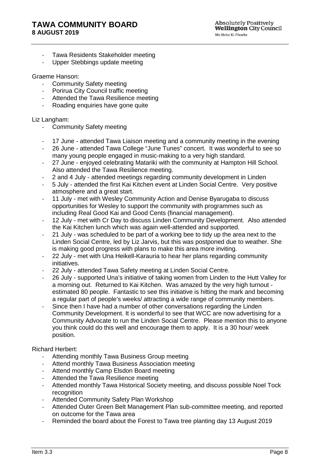# **TAWA COMMUNITY BOARD 8 AUGUST 2019**

- Tawa Residents Stakeholder meeting
- Upper Stebbings update meeting

#### Graeme Hanson:

- Community Safety meeting
- Porirua City Council traffic meeting
- Attended the Tawa Resilience meeting
- Roading enquiries have gone quite

#### Liz Langham:

- Community Safety meeting
- 17 June attended Tawa Liaison meeting and a community meeting in the evening<br>- 26 June attended Tawa College "June Tunes" concert. It was wonderful to see so
- 26 June attended Tawa College "June Tunes" concert. It was wonderful to see so many young people engaged in music-making to a very high standard.
- 27 June enjoyed celebrating Matariki with the community at Hampton Hill School. Also attended the Tawa Resilience meeting.
- 2 and 4 July attended meetings regarding community development in Linden
- 5 July attended the first Kai Kitchen event at Linden Social Centre. Very positive atmosphere and a great start.
- 11 July met with Wesley Community Action and Denise Byarugaba to discuss opportunities for Wesley to support the community with programmes such as including Real Good Kai and Good Cents (financial management).
- 12 July met with Cr Day to discuss Linden Community Development. Also attended the Kai Kitchen lunch which was again well-attended and supported.
- 21 July was scheduled to be part of a working bee to tidy up the area next to the Linden Social Centre, led by Liz Jarvis, but this was postponed due to weather. She is making good progress with plans to make this area more inviting.
- 22 July met with Una Heikell-Karauria to hear her plans regarding community initiatives.
- 22 July attended Tawa Safety meeting at Linden Social Centre.
- 26 July supported Una's initiative of taking women from Linden to the Hutt Valley for a morning out. Returned to Kai Kitchen. Was amazed by the very high turnout estimated 80 people. Fantastic to see this initiative is hitting the mark and becoming a regular part of people's weeks/ attracting a wide range of community members.
- Since then I have had a number of other conversations regarding the Linden Community Development. It is wonderful to see that WCC are now advertising for a Community Advocate to run the Linden Social Centre. Please mention this to anyone you think could do this well and encourage them to apply. It is a 30 hour/ week position.

#### Richard Herbert:

- Attending monthly Tawa Business Group meeting
- Attend monthly Tawa Business Association meeting
- Attend monthly Camp Elsdon Board meeting
- Attended the Tawa Resilience meeting
- Attended monthly Tawa Historical Society meeting, and discuss possible Noel Tock recognition
- Attended Community Safety Plan Workshop
- Attended Outer Green Belt Management Plan sub-committee meeting, and reported on outcome for the Tawa area
- Reminded the board about the Forest to Tawa tree planting day 13 August 2019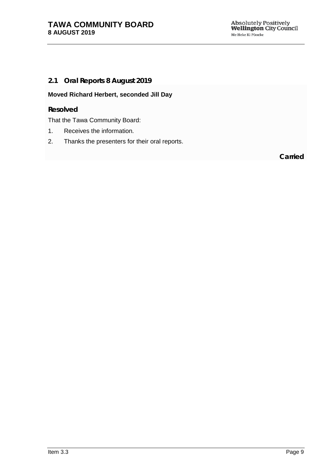# <span id="page-8-0"></span>**2.1 Oral Reports 8 August 2019**

# **Moved Richard Herbert, seconded Jill Day**

## **Resolved**

That the Tawa Community Board:

- 1. Receives the information.
- 2. Thanks the presenters for their oral reports.

**Carried**